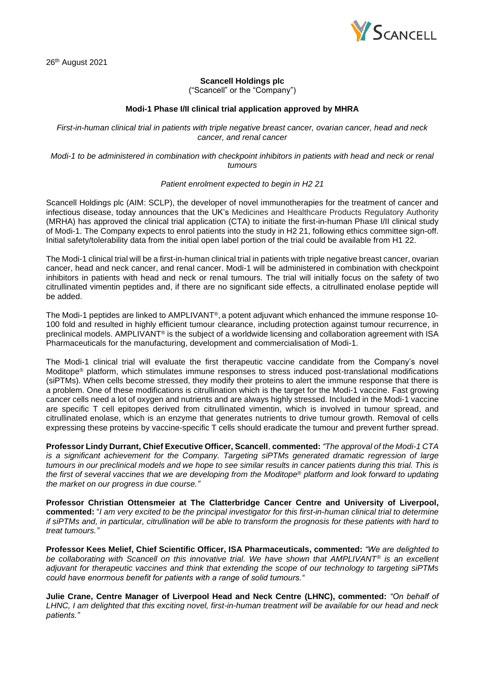

26<sup>th</sup> August 2021

## **Scancell Holdings plc**

("Scancell" or the "Company")

## **Modi-1 Phase I/II clinical trial application approved by MHRA**

*First-in-human clinical trial in patients with triple negative breast cancer, ovarian cancer, head and neck cancer, and renal cancer*

*Modi-1 to be administered in combination with checkpoint inhibitors in patients with head and neck or renal tumours*

## *Patient enrolment expected to begin in H2 21*

Scancell Holdings plc (AIM: SCLP), the developer of novel immunotherapies for the treatment of cancer and infectious disease, today announces that the UK's Medicines and Healthcare Products Regulatory Authority (MRHA) has approved the clinical trial application (CTA) to initiate the first-in-human Phase I/II clinical study of Modi-1. The Company expects to enrol patients into the study in H2 21, following ethics committee sign-off. Initial safety/tolerability data from the initial open label portion of the trial could be available from H1 22.

The Modi-1 clinical trial will be a first-in-human clinical trial in patients with triple negative breast cancer, ovarian cancer, head and neck cancer, and renal cancer. Modi-1 will be administered in combination with checkpoint inhibitors in patients with head and neck or renal tumours. The trial will initially focus on the safety of two citrullinated vimentin peptides and, if there are no significant side effects, a citrullinated enolase peptide will be added.

The Modi-1 peptides are linked to AMPLIVANT®, a potent adjuvant which enhanced the immune response 10- 100 fold and resulted in highly efficient tumour clearance, including protection against tumour recurrence, in preclinical models. AMPLIVANT<sup>®</sup> is the subject of a worldwide licensing and collaboration agreement with ISA Pharmaceuticals for the manufacturing, development and commercialisation of Modi-1.

The Modi-1 clinical trial will evaluate the first therapeutic vaccine candidate from the Company's novel Moditope® platform, which stimulates immune responses to stress induced post-translational modifications (siPTMs). When cells become stressed, they modify their proteins to alert the immune response that there is a problem. One of these modifications is citrullination which is the target for the Modi-1 vaccine. Fast growing cancer cells need a lot of oxygen and nutrients and are always highly stressed. Included in the Modi-1 vaccine are specific T cell epitopes derived from citrullinated vimentin, which is involved in tumour spread, and citrullinated enolase, which is an enzyme that generates nutrients to drive tumour growth. Removal of cells expressing these proteins by vaccine-specific T cells should eradicate the tumour and prevent further spread.

**Professor Lindy Durrant, Chief Executive Officer, Scancell**, **commented:** *"The approval of the Modi-1 CTA is a significant achievement for the Company. Targeting siPTMs generated dramatic regression of large tumours in our preclinical models and we hope to see similar results in cancer patients during this trial. This is the first of several vaccines that we are developing from the Moditope® platform and look forward to updating the market on our progress in due course."*

**Professor Christian Ottensmeier at The Clatterbridge Cancer Centre and University of Liverpool, commented:** "*I am very excited to be the principal investigator for this first-in-human clinical trial to determine if siPTMs and, in particular, citrullination will be able to transform the prognosis for these patients with hard to treat tumours."*

**Professor Kees Melief, Chief Scientific Officer, ISA Pharmaceuticals, commented:** *"We are delighted to be collaborating with Scancell on this innovative trial. We have shown that AMPLIVANT® is an excellent adjuvant for therapeutic vaccines and think that extending the scope of our technology to targeting siPTMs could have enormous benefit for patients with a range of solid tumours."*

**Julie Crane, Centre Manager of Liverpool Head and Neck Centre (LHNC), commented:** *"On behalf of LHNC, I am delighted that this exciting novel, first-in-human treatment will be available for our head and neck patients."*